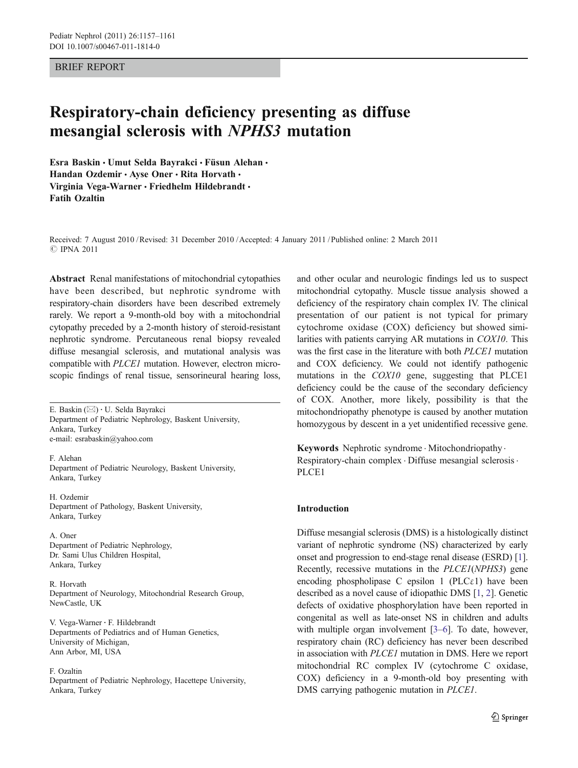#### BRIEF REPORT

# Respiratory-chain deficiency presenting as diffuse mesangial sclerosis with NPHS3 mutation

Esra Baskin • Umut Selda Bayrakci • Füsun Alehan • Handan Ozdemir · Ayse Oner · Rita Horvath · Virginia Vega-Warner · Friedhelm Hildebrandt · Fatih Ozaltin

Received: 7 August 2010 /Revised: 31 December 2010 /Accepted: 4 January 2011 / Published online: 2 March 2011 **C** IPNA 2011

Abstract Renal manifestations of mitochondrial cytopathies have been described, but nephrotic syndrome with respiratory-chain disorders have been described extremely rarely. We report a 9-month-old boy with a mitochondrial cytopathy preceded by a 2-month history of steroid-resistant nephrotic syndrome. Percutaneous renal biopsy revealed diffuse mesangial sclerosis, and mutational analysis was compatible with PLCE1 mutation. However, electron microscopic findings of renal tissue, sensorineural hearing loss,

E. Baskin  $(\boxtimes) \cdot U$ . Selda Bavrakci Department of Pediatric Nephrology, Baskent University, Ankara, Turkey e-mail: esrabaskin@yahoo.com

F. Alehan Department of Pediatric Neurology, Baskent University, Ankara, Turkey

H. Ozdemir Department of Pathology, Baskent University, Ankara, Turkey

A. Oner Department of Pediatric Nephrology, Dr. Sami Ulus Children Hospital, Ankara, Turkey

R. Horvath Department of Neurology, Mitochondrial Research Group, NewCastle, UK

V. Vega-Warner : F. Hildebrandt Departments of Pediatrics and of Human Genetics, University of Michigan, Ann Arbor, MI, USA

F. Ozaltin Department of Pediatric Nephrology, Hacettepe University,

Ankara, Turkey

and other ocular and neurologic findings led us to suspect mitochondrial cytopathy. Muscle tissue analysis showed a deficiency of the respiratory chain complex IV. The clinical presentation of our patient is not typical for primary cytochrome oxidase (COX) deficiency but showed similarities with patients carrying AR mutations in COX10. This was the first case in the literature with both *PLCE1* mutation and COX deficiency. We could not identify pathogenic mutations in the COX10 gene, suggesting that PLCE1 deficiency could be the cause of the secondary deficiency of COX. Another, more likely, possibility is that the mitochondriopathy phenotype is caused by another mutation homozygous by descent in a yet unidentified recessive gene.

Keywords Nephrotic syndrome . Mitochondriopathy. Respiratory-chain complex . Diffuse mesangial sclerosis . PLCE1

### Introduction

Diffuse mesangial sclerosis (DMS) is a histologically distinct variant of nephrotic syndrome (NS) characterized by early onset and progression to end-stage renal disease (ESRD) [[1\]](#page-3-0). Recently, recessive mutations in the PLCE1(NPHS3) gene encoding phospholipase C epsilon 1 ( $PLC\epsilon1$ ) have been described as a novel cause of idiopathic DMS [\[1,](#page-3-0) [2\]](#page-3-0). Genetic defects of oxidative phosphorylation have been reported in congenital as well as late-onset NS in children and adults with multiple organ involvement [[3](#page-4-0)–[6](#page-4-0)]. To date, however, respiratory chain (RC) deficiency has never been described in association with PLCE1 mutation in DMS. Here we report mitochondrial RC complex IV (cytochrome C oxidase, COX) deficiency in a 9-month-old boy presenting with DMS carrying pathogenic mutation in PLCE1.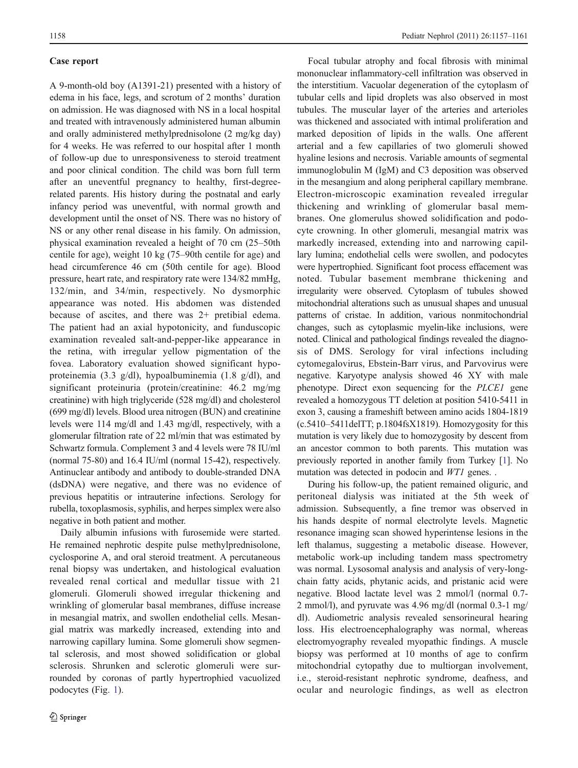#### Case report

A 9-month-old boy (A1391-21) presented with a history of edema in his face, legs, and scrotum of 2 months' duration on admission. He was diagnosed with NS in a local hospital and treated with intravenously administered human albumin and orally administered methylprednisolone (2 mg/kg day) for 4 weeks. He was referred to our hospital after 1 month of follow-up due to unresponsiveness to steroid treatment and poor clinical condition. The child was born full term after an uneventful pregnancy to healthy, first-degreerelated parents. His history during the postnatal and early infancy period was uneventful, with normal growth and development until the onset of NS. There was no history of NS or any other renal disease in his family. On admission, physical examination revealed a height of 70 cm (25–50th centile for age), weight 10 kg (75–90th centile for age) and head circumference 46 cm (50th centile for age). Blood pressure, heart rate, and respiratory rate were 134/82 mmHg, 132/min, and 34/min, respectively. No dysmorphic appearance was noted. His abdomen was distended because of ascites, and there was 2+ pretibial edema. The patient had an axial hypotonicity, and funduscopic examination revealed salt-and-pepper-like appearance in the retina, with irregular yellow pigmentation of the fovea. Laboratory evaluation showed significant hypoproteinemia (3.3 g/dl), hypoalbuminemia (1.8 g/dl), and significant proteinuria (protein/creatinine: 46.2 mg/mg creatinine) with high triglyceride (528 mg/dl) and cholesterol (699 mg/dl) levels. Blood urea nitrogen (BUN) and creatinine levels were 114 mg/dl and 1.43 mg/dl, respectively, with a glomerular filtration rate of 22 ml/min that was estimated by Schwartz formula. Complement 3 and 4 levels were 78 IU/ml (normal 75-80) and 16.4 IU/ml (normal 15-42), respectively. Antinuclear antibody and antibody to double-stranded DNA (dsDNA) were negative, and there was no evidence of previous hepatitis or intrauterine infections. Serology for rubella, toxoplasmosis, syphilis, and herpes simplex were also negative in both patient and mother.

Daily albumin infusions with furosemide were started. He remained nephrotic despite pulse methylprednisolone, cyclosporine A, and oral steroid treatment. A percutaneous renal biopsy was undertaken, and histological evaluation revealed renal cortical and medullar tissue with 21 glomeruli. Glomeruli showed irregular thickening and wrinkling of glomerular basal membranes, diffuse increase in mesangial matrix, and swollen endothelial cells. Mesangial matrix was markedly increased, extending into and narrowing capillary lumina. Some glomeruli show segmental sclerosis, and most showed solidification or global sclerosis. Shrunken and sclerotic glomeruli were surrounded by coronas of partly hypertrophied vacuolized podocytes (Fig. [1\)](#page-2-0).

Focal tubular atrophy and focal fibrosis with minimal mononuclear inflammatory-cell infiltration was observed in the interstitium. Vacuolar degeneration of the cytoplasm of tubular cells and lipid droplets was also observed in most tubules. The muscular layer of the arteries and arterioles was thickened and associated with intimal proliferation and marked deposition of lipids in the walls. One afferent arterial and a few capillaries of two glomeruli showed hyaline lesions and necrosis. Variable amounts of segmental immunoglobulin M (IgM) and C3 deposition was observed in the mesangium and along peripheral capillary membrane. Electron-microscopic examination revealed irregular thickening and wrinkling of glomerular basal membranes. One glomerulus showed solidification and podocyte crowning. In other glomeruli, mesangial matrix was markedly increased, extending into and narrowing capillary lumina; endothelial cells were swollen, and podocytes were hypertrophied. Significant foot process effacement was noted. Tubular basement membrane thickening and irregularity were observed. Cytoplasm of tubules showed mitochondrial alterations such as unusual shapes and unusual patterns of cristae. In addition, various nonmitochondrial changes, such as cytoplasmic myelin-like inclusions, were noted. Clinical and pathological findings revealed the diagnosis of DMS. Serology for viral infections including cytomegalovirus, Ebstein-Barr virus, and Parvovirus were negative. Karyotype analysis showed 46 XY with male phenotype. Direct exon sequencing for the PLCE1 gene revealed a homozygous TT deletion at position 5410-5411 in exon 3, causing a frameshift between amino acids 1804-1819 (c.5410–5411delTT; p.1804fsX1819). Homozygosity for this mutation is very likely due to homozygosity by descent from an ancestor common to both parents. This mutation was previously reported in another family from Turkey [[1\]](#page-3-0). No mutation was detected in podocin and *WT1* genes.

During his follow-up, the patient remained oliguric, and peritoneal dialysis was initiated at the 5th week of admission. Subsequently, a fine tremor was observed in his hands despite of normal electrolyte levels. Magnetic resonance imaging scan showed hyperintense lesions in the left thalamus, suggesting a metabolic disease. However, metabolic work-up including tandem mass spectrometry was normal. Lysosomal analysis and analysis of very-longchain fatty acids, phytanic acids, and pristanic acid were negative. Blood lactate level was 2 mmol/l (normal 0.7- 2 mmol/l), and pyruvate was 4.96 mg/dl (normal 0.3-1 mg/ dl). Audiometric analysis revealed sensorineural hearing loss. His electroencephalography was normal, whereas electromyography revealed myopathic findings. A muscle biopsy was performed at 10 months of age to confirm mitochondrial cytopathy due to multiorgan involvement, i.e., steroid-resistant nephrotic syndrome, deafness, and ocular and neurologic findings, as well as electron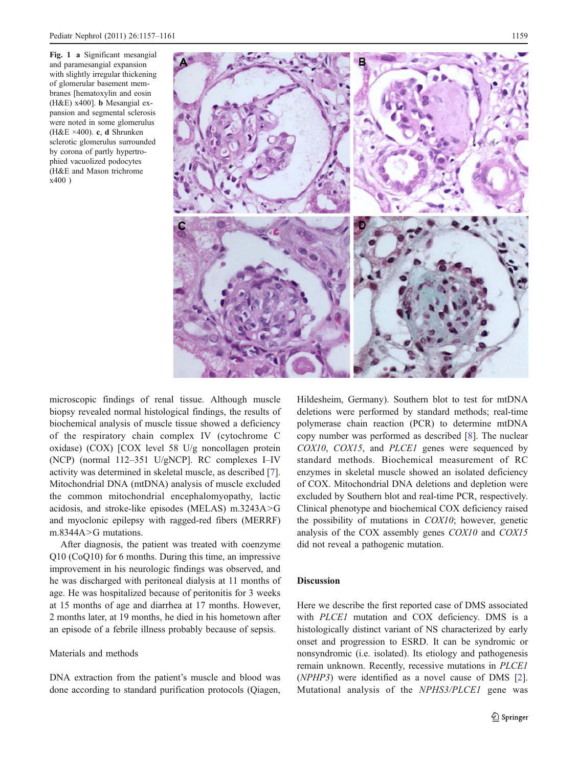<span id="page-2-0"></span>Fig. 1 a Significant mesangial and paramesangial expansion with slightly irregular thickening of glomerular basement membranes [hematoxylin and eosin (H&E) x400]. b Mesangial expansion and segmental sclerosis were noted in some glomerulus (H&E ×400). c, d Shrunken sclerotic glomerulus surrounded by corona of partly hypertrophied vacuolized podocytes (H&E and Mason trichrome x400 )



microscopic findings of renal tissue. Although muscle biopsy revealed normal histological findings, the results of biochemical analysis of muscle tissue showed a deficiency of the respiratory chain complex IV (cytochrome C oxidase) (COX) [COX level 58 U/g noncollagen protein (NCP) (normal 112–351 U/gNCP]. RC complexes I–IV activity was determined in skeletal muscle, as described [\[7](#page-4-0)]. Mitochondrial DNA (mtDNA) analysis of muscle excluded the common mitochondrial encephalomyopathy, lactic acidosis, and stroke-like episodes (MELAS) m.3243A>G and myoclonic epilepsy with ragged-red fibers (MERRF) m.8344A>G mutations.

After diagnosis, the patient was treated with coenzyme Q10 (CoQ10) for 6 months. During this time, an impressive improvement in his neurologic findings was observed, and he was discharged with peritoneal dialysis at 11 months of age. He was hospitalized because of peritonitis for 3 weeks at 15 months of age and diarrhea at 17 months. However, 2 months later, at 19 months, he died in his hometown after an episode of a febrile illness probably because of sepsis.

Materials and methods

DNA extraction from the patient's muscle and blood was done according to standard purification protocols (Qiagen, Hildesheim, Germany). Southern blot to test for mtDNA deletions were performed by standard methods; real-time polymerase chain reaction (PCR) to determine mtDNA copy number was performed as described [\[8](#page-4-0)]. The nuclear COX10, COX15, and PLCE1 genes were sequenced by standard methods. Biochemical measurement of RC enzymes in skeletal muscle showed an isolated deficiency of COX. Mitochondrial DNA deletions and depletion were excluded by Southern blot and real-time PCR, respectively. Clinical phenotype and biochemical COX deficiency raised the possibility of mutations in COX10; however, genetic analysis of the COX assembly genes COX10 and COX15 did not reveal a pathogenic mutation.

#### **Discussion**

Here we describe the first reported case of DMS associated with PLCE1 mutation and COX deficiency. DMS is a histologically distinct variant of NS characterized by early onset and progression to ESRD. It can be syndromic or nonsyndromic (i.e. isolated). Its etiology and pathogenesis remain unknown. Recently, recessive mutations in PLCE1 (NPHP3) were identified as a novel cause of DMS [[2\]](#page-3-0). Mutational analysis of the NPHS3/PLCE1 gene was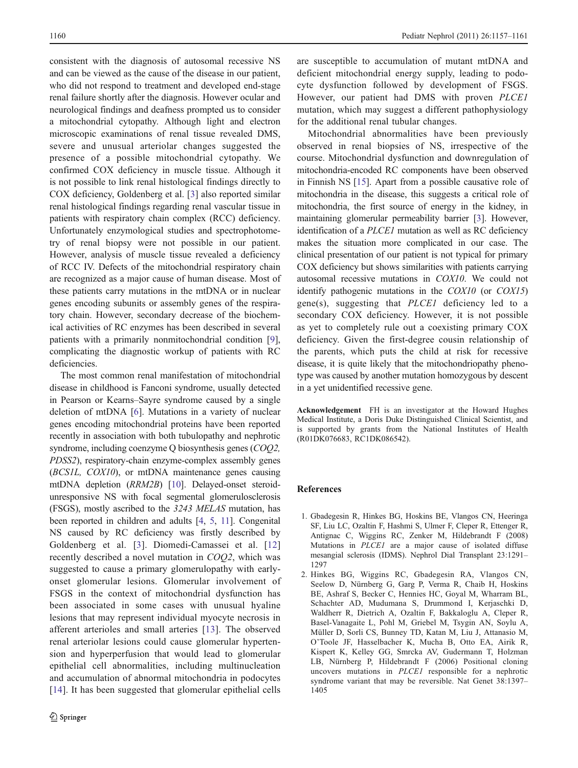<span id="page-3-0"></span>consistent with the diagnosis of autosomal recessive NS and can be viewed as the cause of the disease in our patient, who did not respond to treatment and developed end-stage renal failure shortly after the diagnosis. However ocular and neurological findings and deafness prompted us to consider a mitochondrial cytopathy. Although light and electron microscopic examinations of renal tissue revealed DMS, severe and unusual arteriolar changes suggested the presence of a possible mitochondrial cytopathy. We confirmed COX deficiency in muscle tissue. Although it is not possible to link renal histological findings directly to COX deficiency, Goldenberg et al. [\[3](#page-4-0)] also reported similar renal histological findings regarding renal vascular tissue in patients with respiratory chain complex (RCC) deficiency. Unfortunately enzymological studies and spectrophotometry of renal biopsy were not possible in our patient. However, analysis of muscle tissue revealed a deficiency of RCC IV. Defects of the mitochondrial respiratory chain are recognized as a major cause of human disease. Most of these patients carry mutations in the mtDNA or in nuclear genes encoding subunits or assembly genes of the respiratory chain. However, secondary decrease of the biochemical activities of RC enzymes has been described in several patients with a primarily nonmitochondrial condition [\[9](#page-4-0)], complicating the diagnostic workup of patients with RC deficiencies.

The most common renal manifestation of mitochondrial disease in childhood is Fanconi syndrome, usually detected in Pearson or Kearns–Sayre syndrome caused by a single deletion of mtDNA [\[6](#page-4-0)]. Mutations in a variety of nuclear genes encoding mitochondrial proteins have been reported recently in association with both tubulopathy and nephrotic syndrome, including coenzyme Q biosynthesis genes (COQ2, PDSS2), respiratory-chain enzyme-complex assembly genes (BCS1L, COX10), or mtDNA maintenance genes causing mtDNA depletion (RRM2B) [[10](#page-4-0)]. Delayed-onset steroidunresponsive NS with focal segmental glomerulosclerosis (FSGS), mostly ascribed to the 3243 MELAS mutation, has been reported in children and adults [[4,](#page-4-0) [5](#page-4-0), [11\]](#page-4-0). Congenital NS caused by RC deficiency was firstly described by Goldenberg et al. [[3\]](#page-4-0). Diomedi-Camassei et al. [[12\]](#page-4-0) recently described a novel mutation in COQ2, which was suggested to cause a primary glomerulopathy with earlyonset glomerular lesions. Glomerular involvement of FSGS in the context of mitochondrial dysfunction has been associated in some cases with unusual hyaline lesions that may represent individual myocyte necrosis in afferent arterioles and small arteries [[13\]](#page-4-0). The observed renal arteriolar lesions could cause glomerular hypertension and hyperperfusion that would lead to glomerular epithelial cell abnormalities, including multinucleation and accumulation of abnormal mitochondria in podocytes [\[14\]](#page-4-0). It has been suggested that glomerular epithelial cells

are susceptible to accumulation of mutant mtDNA and deficient mitochondrial energy supply, leading to podocyte dysfunction followed by development of FSGS. However, our patient had DMS with proven PLCE1 mutation, which may suggest a different pathophysiology for the additional renal tubular changes.

Mitochondrial abnormalities have been previously observed in renal biopsies of NS, irrespective of the course. Mitochondrial dysfunction and downregulation of mitochondria-encoded RC components have been observed in Finnish NS [[15](#page-4-0)]. Apart from a possible causative role of mitochondria in the disease, this suggests a critical role of mitochondria, the first source of energy in the kidney, in maintaining glomerular permeability barrier [\[3](#page-4-0)]. However, identification of a PLCE1 mutation as well as RC deficiency makes the situation more complicated in our case. The clinical presentation of our patient is not typical for primary COX deficiency but shows similarities with patients carrying autosomal recessive mutations in COX10. We could not identify pathogenic mutations in the COX10 (or COX15) gene(s), suggesting that PLCE1 deficiency led to a secondary COX deficiency. However, it is not possible as yet to completely rule out a coexisting primary COX deficiency. Given the first-degree cousin relationship of the parents, which puts the child at risk for recessive disease, it is quite likely that the mitochondriopathy phenotype was caused by another mutation homozygous by descent in a yet unidentified recessive gene.

Acknowledgement FH is an investigator at the Howard Hughes Medical Institute, a Doris Duke Distinguished Clinical Scientist, and is supported by grants from the National Institutes of Health (R01DK076683, RC1DK086542).

## References

- 1. Gbadegesin R, Hinkes BG, Hoskins BE, Vlangos CN, Heeringa SF, Liu LC, Ozaltin F, Hashmi S, Ulmer F, Cleper R, Ettenger R, Antignac C, Wiggins RC, Zenker M, Hildebrandt F (2008) Mutations in PLCE1 are a major cause of isolated diffuse mesangial sclerosis (IDMS). Nephrol Dial Transplant 23:1291– 1297
- 2. Hinkes BG, Wiggins RC, Gbadegesin RA, Vlangos CN, Seelow D, Nürnberg G, Garg P, Verma R, Chaib H, Hoskins BE, Ashraf S, Becker C, Hennies HC, Goyal M, Wharram BL, Schachter AD, Mudumana S, Drummond I, Kerjaschki D, Waldherr R, Dietrich A, Ozaltin F, Bakkaloglu A, Cleper R, Basel-Vanagaite L, Pohl M, Griebel M, Tsygin AN, Soylu A, Müller D, Sorli CS, Bunney TD, Katan M, Liu J, Attanasio M, O'Toole JF, Hasselbacher K, Mucha B, Otto EA, Airik R, Kispert K, Kelley GG, Smrcka AV, Gudermann T, Holzman LB, Nürnberg P, Hildebrandt F (2006) Positional cloning uncovers mutations in PLCE1 responsible for a nephrotic syndrome variant that may be reversible. Nat Genet 38:1397– 1405